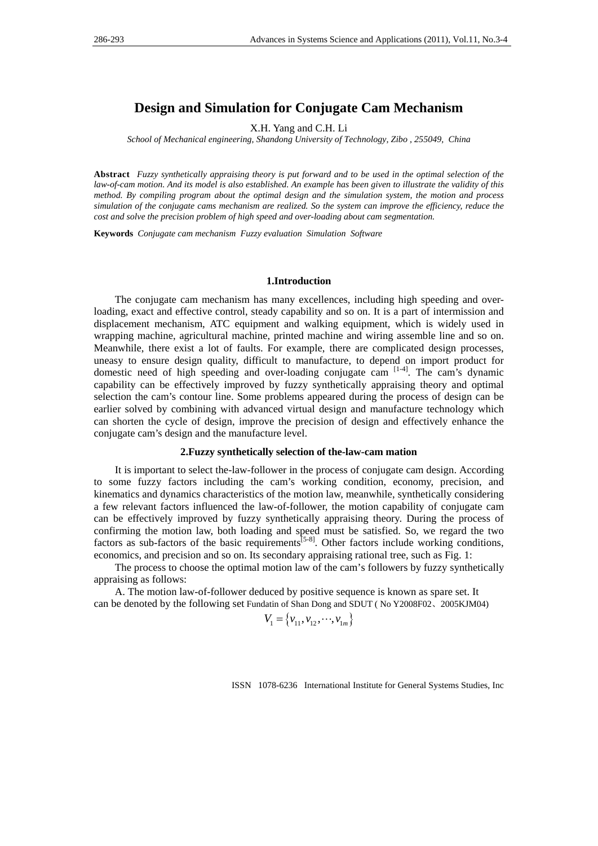# **Design and Simulation for Conjugate Cam Mechanism**

X.H. Yang and C.H. Li

*School of Mechanical engineering, Shandong University of Technology, Zibo , 255049, China* 

**Abstract** *Fuzzy synthetically appraising theory is put forward and to be used in the optimal selection of the law-of-cam motion. And its model is also established. An example has been given to illustrate the validity of this method. By compiling program about the optimal design and the simulation system, the motion and process simulation of the conjugate cams mechanism are realized. So the system can improve the efficiency, reduce the cost and solve the precision problem of high speed and over-loading about cam segmentation.* 

**Keywords** *Conjugate cam mechanism Fuzzy evaluation Simulation Software*

### **1.Introduction**

The conjugate cam mechanism has many excellences, including high speeding and overloading, exact and effective control, steady capability and so on. It is a part of intermission and displacement mechanism, ATC equipment and walking equipment, which is widely used in wrapping machine, agricultural machine, printed machine and wiring assemble line and so on. Meanwhile, there exist a lot of faults. For example, there are complicated design processes, uneasy to ensure design quality, difficult to manufacture, to depend on import product for domestic need of high speeding and over-loading conjugate cam  $[1-4]$ . The cam's dynamic capability can be effectively improved by fuzzy synthetically appraising theory and optimal selection the cam's contour line. Some problems appeared during the process of design can be earlier solved by combining with advanced virtual design and manufacture technology which can shorten the cycle of design, improve the precision of design and effectively enhance the conjugate cam's design and the manufacture level.

### **2.Fuzzy synthetically selection of the-law-cam mation**

It is important to select the-law-follower in the process of conjugate cam design. According to some fuzzy factors including the cam's working condition, economy, precision, and kinematics and dynamics characteristics of the motion law, meanwhile, synthetically considering a few relevant factors influenced the law-of-follower, the motion capability of conjugate cam can be effectively improved by fuzzy synthetically appraising theory. During the process of confirming the motion law, both loading and speed must be satisfied. So, we regard the two factors as sub-factors of the basic requirements $[5-8]$ . Other factors include working conditions, economics, and precision and so on. Its secondary appraising rational tree, such as Fig. 1:

The process to choose the optimal motion law of the cam's followers by fuzzy synthetically appraising as follows:

A. The motion law-of-follower deduced by positive sequence is known as spare set. It can be denoted by the following set Fundatin of Shan Dong and SDUT ( No Y2008F02、2005KJM04)

$$
V_1 = \{v_{11}, v_{12}, \dots, v_{1m}\}
$$

ISSN 1078-6236 International Institute for General Systems Studies, Inc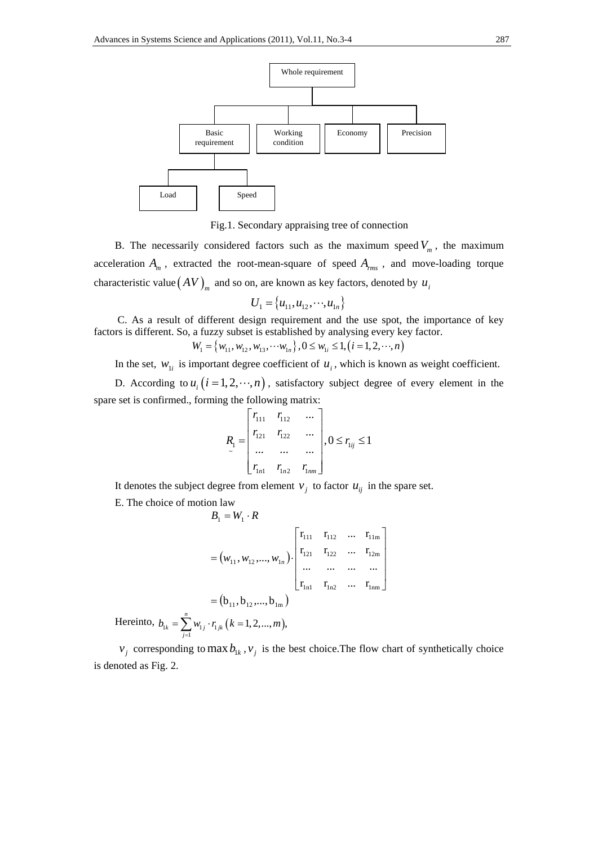

Fig.1. Secondary appraising tree of connection

B. The necessarily considered factors such as the maximum speed  $V_m$ , the maximum acceleration *Am* , extracted the root-mean-square of speed *Arms* , and move-loading torque characteristic value  $(AV)$ <sub>*m*</sub> and so on, are known as key factors, denoted by  $u_i$ 

$$
U_1 = \{u_{11}, u_{12}, \cdots, u_{1n}\}
$$

 C. As a result of different design requirement and the use spot, the importance of key factors is different. So, a fuzzy subset is established by analysing every key factor.

$$
W_1 = \{w_{11}, w_{12}, w_{13}, \cdots w_{1n}\}, 0 \le w_{1i} \le 1, (i = 1, 2, \cdots, n)
$$

In the set,  $w_{1i}$  is important degree coefficient of  $u_i$ , which is known as weight coefficient.

D. According to  $u_i$   $(i = 1, 2, \dots, n)$ , satisfactory subject degree of every element in the spare set is confirmed., forming the following matrix:

$$
R_{1} = \begin{bmatrix} r_{111} & r_{112} & \cdots \\ r_{121} & r_{122} & \cdots \\ \cdots & \cdots & \cdots \\ r_{1n1} & r_{1n2} & r_{1nm} \end{bmatrix}, 0 \le r_{1ij} \le 1
$$

It denotes the subject degree from element  $v_i$  to factor  $u_{ij}$  in the spare set.

E. The choice of motion law

$$
B_1 = W_1 \cdot R
$$
  
\n
$$
= (w_{11}, w_{12}, ..., w_{1n}) \cdot \begin{bmatrix} \mathbf{r}_{111} & \mathbf{r}_{112} & ... & \mathbf{r}_{11m} \\ \mathbf{r}_{121} & \mathbf{r}_{122} & ... & \mathbf{r}_{12m} \\ ... & ... & ... & ... \\ \mathbf{r}_{1n1} & \mathbf{r}_{1n2} & ... & \mathbf{r}_{1nm} \end{bmatrix}
$$
  
\n
$$
= (\mathbf{b}_{11}, \mathbf{b}_{12}, ..., \mathbf{b}_{1m})
$$
  
\nHere into,  $b_{1k} = \sum_{j=1}^{n} w_{1j} \cdot r_{1jk}$  ( $k = 1, 2, ..., m$ ),

 $v_i$  corresponding to max  $b_{1k}$ ,  $v_i$  is the best choice. The flow chart of synthetically choice is denoted as Fig. 2.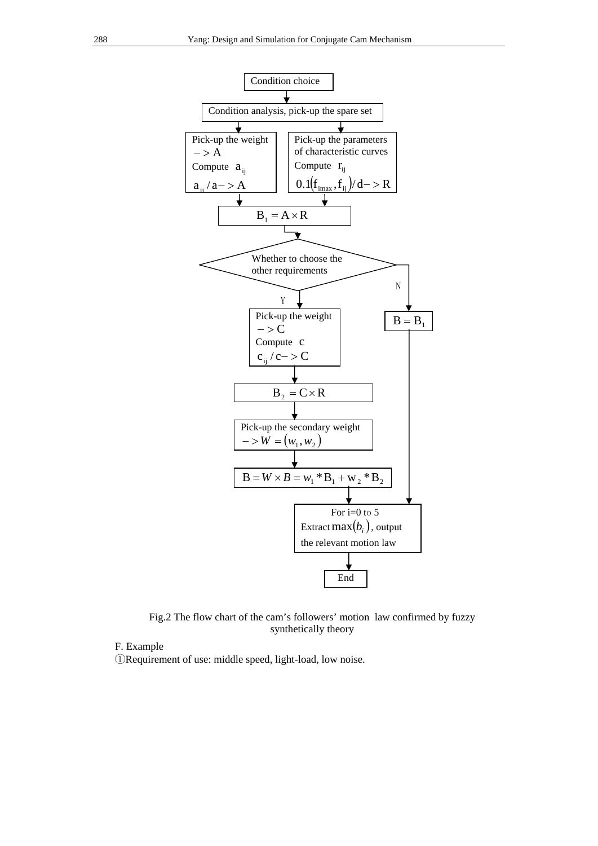

Fig.2 The flow chart of the cam's followers' motion law confirmed by fuzzy synthetically theory

# F. Example

①Requirement of use: middle speed, light-load, low noise.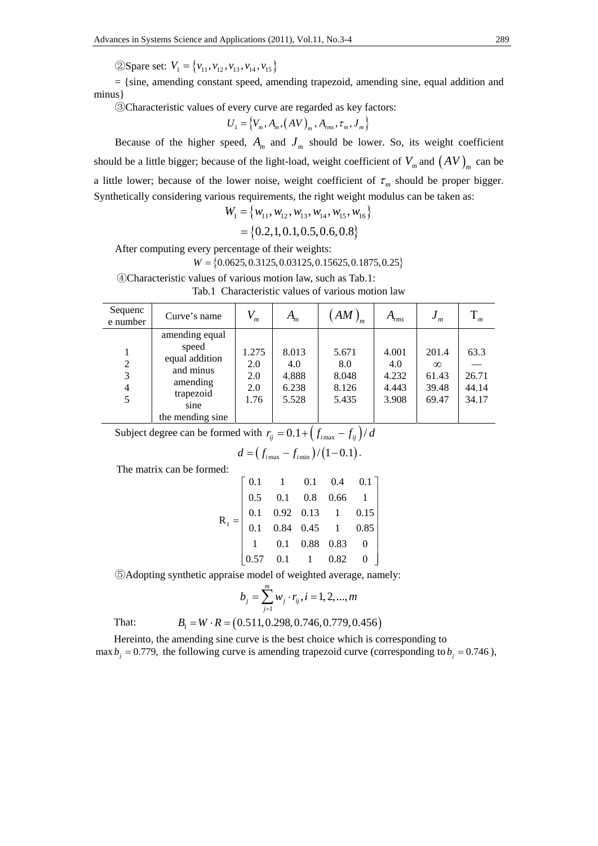②Spare set:  $V_1 = \{v_{11}, v_{12}, v_{13}, v_{14}, v_{15}\}$ 

 $=$  {sine, amending constant speed, amending trapezoid, amending sine, equal addition and minus}

③Characteristic values of every curve are regarded as key factors:

$$
U_1 = \left\{ V_m, A_m, \left( AV \right)_m, A_{rms}, \tau_m, J_m \right\}
$$

Because of the higher speed,  $A_m$  and  $J_m$  should be lower. So, its weight coefficient should be a little bigger; because of the light-load, weight coefficient of  $V_m$  and  $(AV)_{m}$  can be a little lower; because of the lower noise, weight coefficient of  $\tau_m$  should be proper bigger. Synthetically considering various requirements, the right weight modulus can be taken as:

$$
W_1 = \{w_{11}, w_{12}, w_{13}, w_{14}, w_{15}, w_{16}\}
$$

$$
= \{0.2, 1, 0.1, 0.5, 0.6, 0.8\}
$$

After computing every percentage of their weights:

④Characteristic values of various motion law, such as Tab.1:

 $W = \{0.0625, 0.3125, 0.03125, 0.15625, 0.1875, 0.25\}$ 

| Sequenc                       | Curve's name                                                                                                |                                    |                                         | AM                                      | А                                       | J                                            |                                 |
|-------------------------------|-------------------------------------------------------------------------------------------------------------|------------------------------------|-----------------------------------------|-----------------------------------------|-----------------------------------------|----------------------------------------------|---------------------------------|
| e number                      |                                                                                                             | m                                  | $A_m$                                   | ' m                                     | rms                                     | $\boldsymbol{m}$                             | $\boldsymbol{m}$                |
| $\overline{2}$<br>3<br>4<br>5 | amending equal<br>speed<br>equal addition<br>and minus<br>amending<br>trapezoid<br>sine<br>the mending sine | 1.275<br>2.0<br>2.0<br>2.0<br>1.76 | 8.013<br>4.0<br>4.888<br>6.238<br>5.528 | 5.671<br>8.0<br>8.048<br>8.126<br>5.435 | 4.001<br>4.0<br>4.232<br>4.443<br>3.908 | 201.4<br>$\infty$<br>61.43<br>39.48<br>69.47 | 63.3<br>26.71<br>44.14<br>34.17 |

Tab.1 Characteristic values of various motion law

Subject degree can be formed with  $r_{ij} = 0.1 + (f_{i \text{max}} - f_{ij})/d$ 

$$
d = (f_{i\max} - f_{i\min})/(1 - 0.1).
$$

The matrix can be formed:

|  | $\mathbf{R}_1 = \begin{bmatrix} 0.1 & 1 & 0.1 & 0.4 & 0.1 \\ 0.5 & 0.1 & 0.8 & 0.66 & 1 \\ 0.1 & 0.92 & 0.13 & 1 & 0.15 \\ 0.1 & 0.84 & 0.45 & 1 & 0.85 \\ 1 & 0.1 & 0.88 & 0.83 & 0 \\ 0.57 & 0.1 & 1 & 0.82 & 0 \end{bmatrix}$ |  |  |
|--|----------------------------------------------------------------------------------------------------------------------------------------------------------------------------------------------------------------------------------|--|--|

⑤Adopting synthetic appraise model of weighted average, namely:

$$
b_j = \sum_{j=1}^m w_j \cdot r_{ij}, i = 1, 2, ..., m
$$

That:  $B_1 = W \cdot R = (0.511, 0.298, 0.746, 0.779, 0.456)$ 

Hereinto, the amending sine curve is the best choice which is corresponding to max  $b_i = 0.779$ , the following curve is amending trapezoid curve (corresponding to  $b_i = 0.746$ ),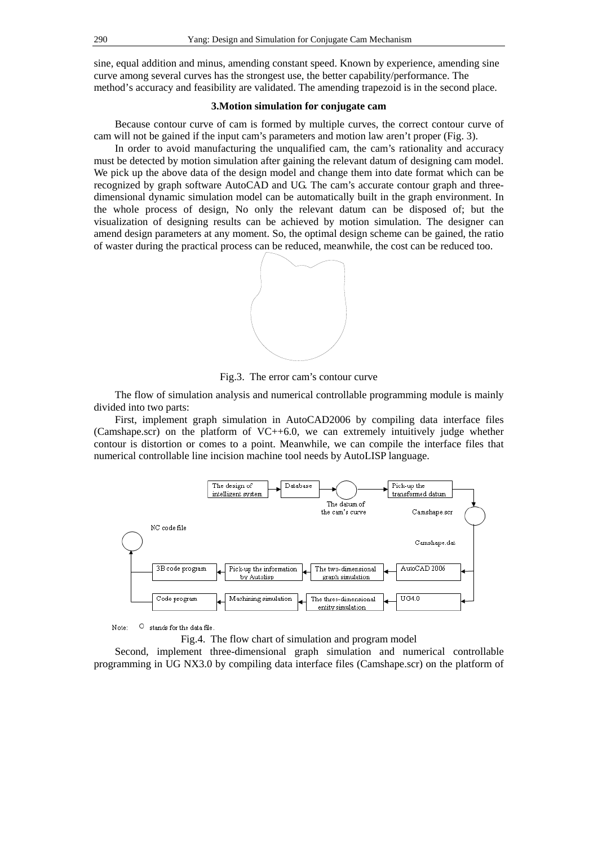sine, equal addition and minus, amending constant speed. Known by experience, amending sine curve among several curves has the strongest use, the better capability/performance. The method's accuracy and feasibility are validated. The amending trapezoid is in the second place.

## **3.Motion simulation for conjugate cam**

Because contour curve of cam is formed by multiple curves, the correct contour curve of cam will not be gained if the input cam's parameters and motion law aren't proper (Fig. 3).

In order to avoid manufacturing the unqualified cam, the cam's rationality and accuracy must be detected by motion simulation after gaining the relevant datum of designing cam model. We pick up the above data of the design model and change them into date format which can be recognized by graph software AutoCAD and UG. The cam's accurate contour graph and threedimensional dynamic simulation model can be automatically built in the graph environment. In the whole process of design, No only the relevant datum can be disposed of; but the visualization of designing results can be achieved by motion simulation. The designer can amend design parameters at any moment. So, the optimal design scheme can be gained, the ratio of waster during the practical process can be reduced, meanwhile, the cost can be reduced too.



Fig.3. The error cam's contour curve

The flow of simulation analysis and numerical controllable programming module is mainly divided into two parts:

First, implement graph simulation in AutoCAD2006 by compiling data interface files (Camshape.scr) on the platform of VC++6.0, we can extremely intuitively judge whether contour is distortion or comes to a point. Meanwhile, we can compile the interface files that numerical controllable line incision machine tool needs by AutoLISP language.



O stands for the data file Note:

Fig.4. The flow chart of simulation and program model

Second, implement three-dimensional graph simulation and numerical controllable programming in UG NX3.0 by compiling data interface files (Camshape.scr) on the platform of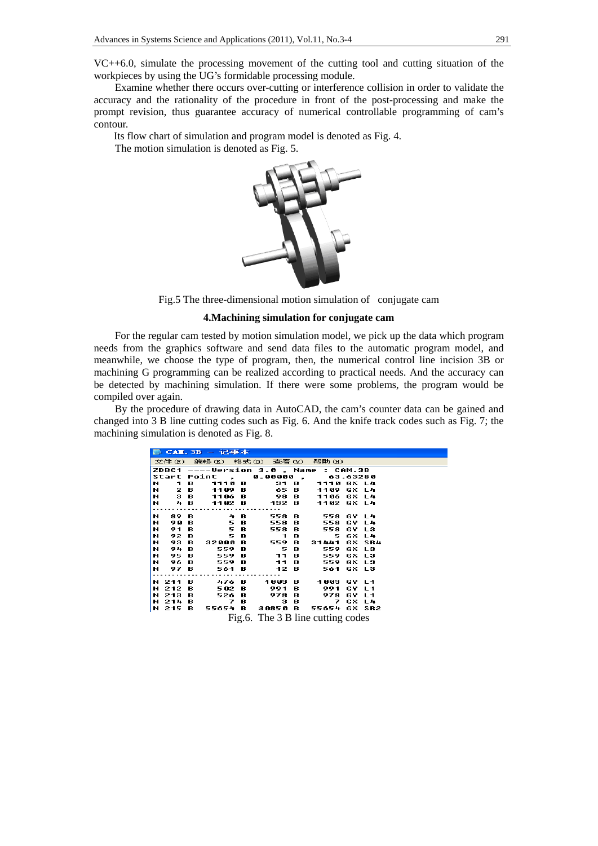VC++6.0, simulate the processing movement of the cutting tool and cutting situation of the workpieces by using the UG's formidable processing module.

Examine whether there occurs over-cutting or interference collision in order to validate the accuracy and the rationality of the procedure in front of the post-processing and make the prompt revision, thus guarantee accuracy of numerical controllable programming of cam's contour.

Its flow chart of simulation and program model is denoted as Fig. 4.

The motion simulation is denoted as Fig. 5.



Fig.5 The three-dimensional motion simulation of conjugate cam

# **4.Machining simulation for conjugate cam**

For the regular cam tested by motion simulation model, we pick up the data which program needs from the graphics software and send data files to the automatic program model, and meanwhile, we choose the type of program, then, the numerical control line incision 3B or machining G programming can be realized according to practical needs. And the accuracy can be detected by machining simulation. If there were some problems, the program would be compiled over again.

By the procedure of drawing data in AutoCAD, the cam's counter data can be gained and changed into 3 B line cutting codes such as Fig. 6. And the knife track codes such as Fig. 7; the machining simulation is denoted as Fig. 8.

|                                   |      |  | L CAL. 3B - 记事本                                              |  |  |  |                     |  |
|-----------------------------------|------|--|--------------------------------------------------------------|--|--|--|---------------------|--|
|                                   |      |  | 文件 (F) 编辑 (E) 格式 (Q) 查看 (Y) 帮助 (H)                           |  |  |  |                     |  |
|                                   |      |  | ZDBC1 ----Version 3.0 , Name : CAM.3B                        |  |  |  |                     |  |
|                                   |      |  | Start Point , 0.00000 , 63.63280                             |  |  |  |                     |  |
|                                   |      |  | N 1 B 1110 B 31 B 1110 GX L4                                 |  |  |  |                     |  |
|                                   |      |  | N 2 B 1109 B 65 B 1109 GX L4<br>N 3 B 1106 B 98 B 1106 GX L4 |  |  |  |                     |  |
|                                   |      |  |                                                              |  |  |  |                     |  |
|                                   |      |  | N 48 1102 B 132 B 1102 GX L4                                 |  |  |  |                     |  |
|                                   |      |  |                                                              |  |  |  |                     |  |
|                                   |      |  | N 89 B 4B 558 B 558 GY L4                                    |  |  |  |                     |  |
| N.                                | 90 B |  |                                                              |  |  |  | 5 B 558 B 558 GY L4 |  |
| н                                 | 91 B |  | 5 B 558 B 558 GY L3                                          |  |  |  |                     |  |
| н                                 |      |  | 92 B 5 B 1 B 5 GX L4                                         |  |  |  |                     |  |
| H.                                |      |  | 93 B 32000 B 559 B 31441 GX SR4<br>94 B 559 B 5 B 559 GX L3  |  |  |  |                     |  |
| N.                                |      |  |                                                              |  |  |  |                     |  |
|                                   |      |  | N 95 B 559 B 11 B 559 GX L3                                  |  |  |  |                     |  |
|                                   |      |  | N 96 B 559 B 11 B 559 GX L3                                  |  |  |  |                     |  |
|                                   |      |  | N 97 B 561 B 12 B 561 GX L3                                  |  |  |  |                     |  |
|                                   |      |  |                                                              |  |  |  |                     |  |
|                                   |      |  | N 211 B 476 B 1003 B 1003 GY L1                              |  |  |  |                     |  |
|                                   |      |  | N 212 B 502 B 991 B 991 GY L1                                |  |  |  |                     |  |
|                                   |      |  | N 213 B 526 B 978 B 978 GY L1                                |  |  |  |                     |  |
|                                   |      |  | N 214 B 7 B 3 B 7 GX L4                                      |  |  |  |                     |  |
|                                   |      |  | N 215 B 55654 B 30850 B 55654 GX SR2                         |  |  |  |                     |  |
|                                   |      |  |                                                              |  |  |  |                     |  |
| Fig.6. The 3 B line cutting codes |      |  |                                                              |  |  |  |                     |  |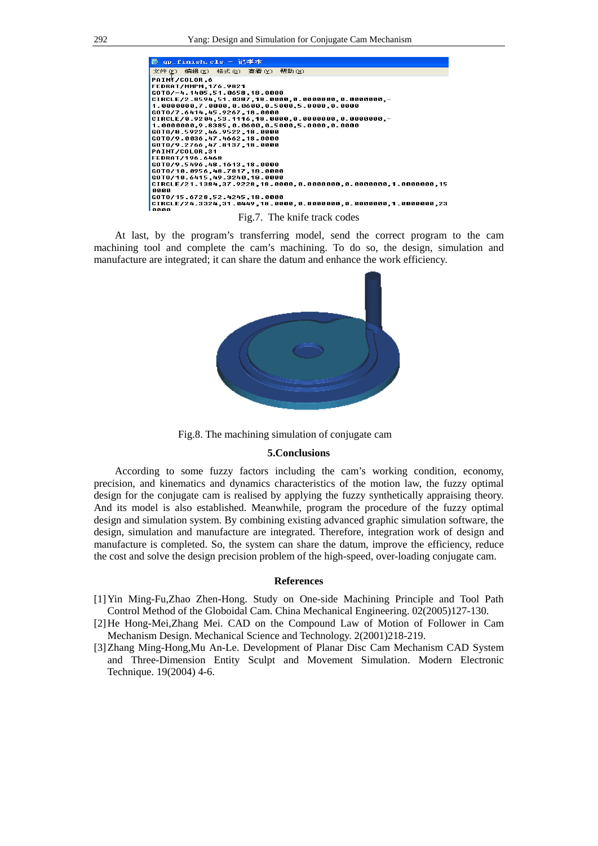

At last, by the program's transferring model, send the correct program to the cam machining tool and complete the cam's machining. To do so, the design, simulation and manufacture are integrated; it can share the datum and enhance the work efficiency.



Fig.8. The machining simulation of conjugate cam

#### **5.Conclusions**

According to some fuzzy factors including the cam's working condition, economy, precision, and kinematics and dynamics characteristics of the motion law, the fuzzy optimal design for the conjugate cam is realised by applying the fuzzy synthetically appraising theory. And its model is also established. Meanwhile, program the procedure of the fuzzy optimal design and simulation system. By combining existing advanced graphic simulation software, the design, simulation and manufacture are integrated. Therefore, integration work of design and manufacture is completed. So, the system can share the datum, improve the efficiency, reduce the cost and solve the design precision problem of the high-speed, over-loading conjugate cam.

#### **References**

- [1]Yin Ming-Fu,Zhao Zhen-Hong. Study on One-side Machining Principle and Tool Path Control Method of the Globoidal Cam. China Mechanical Engineering. 02(2005)127-130.
- [2]He Hong-Mei,Zhang Mei. CAD on the Compound Law of Motion of Follower in Cam Mechanism Design. Mechanical Science and Technology. 2(2001)218-219.
- [3]Zhang Ming-Hong,Mu An-Le. Development of Planar Disc Cam Mechanism CAD System and Three-Dimension Entity Sculpt and Movement Simulation. Modern Electronic Technique. 19(2004) 4-6.